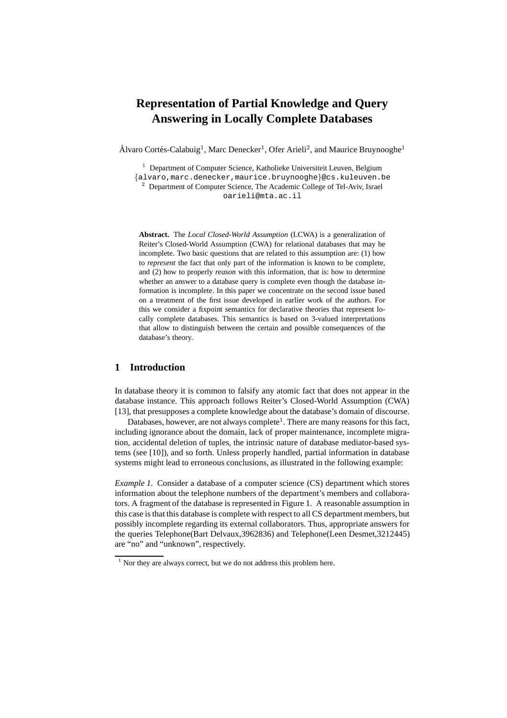# **Representation of Partial Knowledge and Query Answering in Locally Complete Databases**

Álvaro Cortés-Calabuig<sup>1</sup>, Marc Denecker<sup>1</sup>, Ofer Arieli<sup>2</sup>, and Maurice Bruynooghe<sup>1</sup>

<sup>1</sup> Department of Computer Science, Katholieke Universiteit Leuven, Belgium

{alvaro,marc.denecker,maurice.bruynooghe}@cs.kuleuven.be <sup>2</sup> Department of Computer Science, The Academic College of Tel-Aviv, Israel

oarieli@mta.ac.il

**Abstract.** The *Local Closed-World Assumption* (LCWA) is a generalization of Reiter's Closed-World Assumption (CWA) for relational databases that may be incomplete. Two basic questions that are related to this assumption are: (1) how to *represent* the fact that only part of the information is known to be complete, and (2) how to properly *reason* with this information, that is: how to determine whether an answer to a database query is complete even though the database information is incomplete. In this paper we concentrate on the second issue based on a treatment of the first issue developed in earlier work of the authors. For this we consider a fixpoint semantics for declarative theories that represent locally complete databases. This semantics is based on 3-valued interpretations that allow to distinguish between the certain and possible consequences of the database's theory.

# **1 Introduction**

In database theory it is common to falsify any atomic fact that does not appear in the database instance. This approach follows Reiter's Closed-World Assumption (CWA) [13], that presupposes a complete knowledge about the database's domain of discourse.

Databases, however, are not always complete<sup>1</sup>. There are many reasons for this fact, including ignorance about the domain, lack of proper maintenance, incomplete migration, accidental deletion of tuples, the intrinsic nature of database mediator-based systems (see [10]), and so forth. Unless properly handled, partial information in database systems might lead to erroneous conclusions, as illustrated in the following example:

*Example 1.* Consider a database of a computer science (CS) department which stores information about the telephone numbers of the department's members and collaborators. A fragment of the database is represented in Figure 1. A reasonable assumption in this case is that this database is complete with respect to all CS department members, but possibly incomplete regarding its external collaborators. Thus, appropriate answers for the queries Telephone(Bart Delvaux,3962836) and Telephone(Leen Desmet,3212445) are "no" and "unknown", respectively.

 $1$  Nor they are always correct, but we do not address this problem here.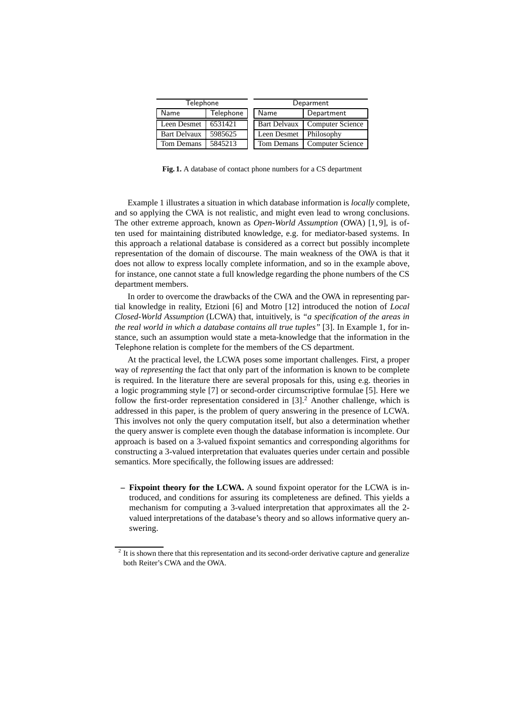| Telephone           |           | Deparment           |                         |
|---------------------|-----------|---------------------|-------------------------|
| Name                | Telephone | Name                | Department              |
| Leen Desmet         | 6531421   | <b>Bart Delvaux</b> | Computer Science        |
| <b>Bart Delvaux</b> | 5985625   | Leen Desmet         | Philosophy              |
| Tom Demans          | 5845213   | Tom Demans          | <b>Computer Science</b> |

**Fig. 1.** A database of contact phone numbers for a CS department

Example 1 illustrates a situation in which database information is *locally* complete, and so applying the CWA is not realistic, and might even lead to wrong conclusions. The other extreme approach, known as *Open-World Assumption* (OWA) [1, 9], is often used for maintaining distributed knowledge, e.g. for mediator-based systems. In this approach a relational database is considered as a correct but possibly incomplete representation of the domain of discourse. The main weakness of the OWA is that it does not allow to express locally complete information, and so in the example above, for instance, one cannot state a full knowledge regarding the phone numbers of the CS department members.

In order to overcome the drawbacks of the CWA and the OWA in representing partial knowledge in reality, Etzioni [6] and Motro [12] introduced the notion of *Local Closed-World Assumption* (LCWA) that, intuitively, is *"a specification of the areas in the real world in which a database contains all true tuples"* [3]. In Example 1, for instance, such an assumption would state a meta-knowledge that the information in the Telephone relation is complete for the members of the CS department.

At the practical level, the LCWA poses some important challenges. First, a proper way of *representing* the fact that only part of the information is known to be complete is required. In the literature there are several proposals for this, using e.g. theories in a logic programming style [7] or second-order circumscriptive formulae [5]. Here we follow the first-order representation considered in  $[3]$ <sup>2</sup>. Another challenge, which is addressed in this paper, is the problem of query answering in the presence of LCWA. This involves not only the query computation itself, but also a determination whether the query answer is complete even though the database information is incomplete. Our approach is based on a 3-valued fixpoint semantics and corresponding algorithms for constructing a 3-valued interpretation that evaluates queries under certain and possible semantics. More specifically, the following issues are addressed:

**Fixpoint theory for the LCWA.** A sound fixpoint operator for the LCWA is introduced, and conditions for assuring its completeness are defined. This yields a mechanism for computing a 3-valued interpretation that approximates all the 2 valued interpretations of the database's theory and so allows informative query answering.

 $2<sup>2</sup>$  It is shown there that this representation and its second-order derivative capture and generalize both Reiter's CWA and the OWA.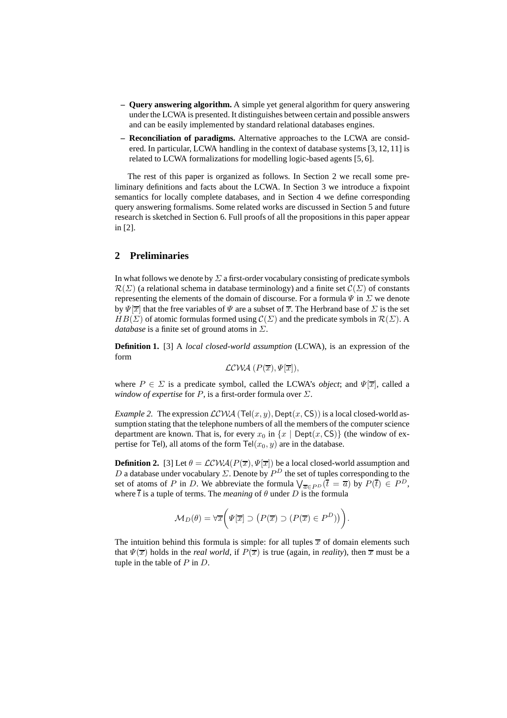- **Query answering algorithm.** A simple yet general algorithm for query answering under the LCWA is presented. It distinguishes between certain and possible answers and can be easily implemented by standard relational databases engines.
- **Reconciliation of paradigms.** Alternative approaches to the LCWA are considered. In particular, LCWA handling in the context of database systems [3, 12, 11] is related to LCWA formalizations for modelling logic-based agents [5, 6].

The rest of this paper is organized as follows. In Section 2 we recall some preliminary definitions and facts about the LCWA. In Section 3 we introduce a fixpoint semantics for locally complete databases, and in Section 4 we define corresponding query answering formalisms. Some related works are discussed in Section 5 and future research is sketched in Section 6. Full proofs of all the propositions in this paper appear in [2].

## **2 Preliminaries**

In what follows we denote by  $\Sigma$  a first-order vocabulary consisting of predicate symbols  $\mathcal{R}(\Sigma)$  (a relational schema in database terminology) and a finite set  $\mathcal{C}(\Sigma)$  of constants representing the elements of the domain of discourse. For a formula  $\Psi$  in  $\Sigma$  we denote by  $\Psi[\overline{x}]$  that the free variables of  $\Psi$  are a subset of  $\overline{x}$ . The Herbrand base of  $\Sigma$  is the set  $HB(\Sigma)$  of atomic formulas formed using  $\mathcal{C}(\Sigma)$  and the predicate symbols in  $\mathcal{R}(\Sigma)$ . A *database* is a finite set of ground atoms in Σ.

**Definition 1.** [3] A *local closed-world assumption* (LCWA), is an expression of the form

$$
\mathcal{LCWA}\left(P(\overline{x}), \Psi[\overline{x}]\right),
$$

where  $P \in \Sigma$  is a predicate symbol, called the LCWA's *object*; and  $\Psi[\overline{x}]$ , called a *window of expertise* for  $P$ , is a first-order formula over  $\Sigma$ .

*Example 2.* The expression  $LCWA$  (Tel $(x, y)$ , Dept $(x, CS)$ ) is a local closed-world assumption stating that the telephone numbers of all the members of the computer science department are known. That is, for every  $x_0$  in  $\{x \mid \text{Depth}(x, \text{CS})\}$  (the window of expertise for Tel), all atoms of the form Tel( $x_0, y$ ) are in the database.

**Definition 2.** [3] Let  $\theta = \mathcal{LCWA}(P(\overline{x}), \Psi[\overline{x}])$  be a local closed-world assumption and D a database under vocabulary  $\Sigma$ . Denote by  $P^D$  the set of tuples corresponding to the set of atoms of P in D. We abbreviate the formula  $\bigvee_{\overline{a} \in P^D} (\overline{t} = \overline{a})$  by  $P(\overline{t}) \in P^D$ , where  $\overline{t}$  is a tuple of terms. The *meaning* of  $\theta$  under D is the formula

$$
\mathcal{M}_D(\theta) = \forall \overline{x} \bigg( \Psi[\overline{x}] \supset \big( P(\overline{x}) \supset (P(\overline{x}) \in P^D) \big) \bigg).
$$

The intuition behind this formula is simple: for all tuples  $\bar{x}$  of domain elements such that  $\Psi(\overline{x})$  holds in the *real world*, if  $P(\overline{x})$  is true (again, in *reality*), then  $\overline{x}$  must be a tuple in the table of  $P$  in  $D$ .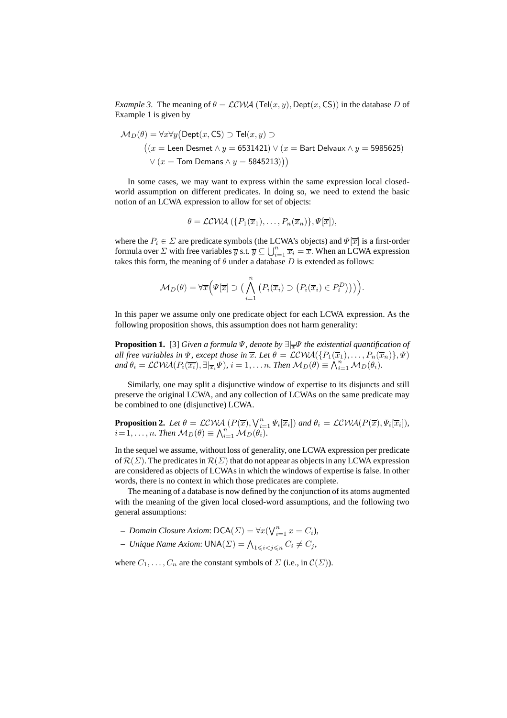*Example 3.* The meaning of  $\theta = \mathcal{LCWA}$  (Tel(x, y), Dept(x, CS)) in the database D of Example 1 is given by

$$
\mathcal{M}_D(\theta) = \forall x \forall y (\text{Depth}(x, \text{CS}) \supset \text{Tel}(x, y) \supset
$$

$$
((x = \text{Leen} \text{Desmet} \land y = 6531421) \lor (x = \text{Bart} \text{Delvaux} \land y = 5985625)
$$

$$
\lor (x = \text{Tom} \text{ Demans} \land y = 5845213)))
$$

In some cases, we may want to express within the same expression local closedworld assumption on different predicates. In doing so, we need to extend the basic notion of an LCWA expression to allow for set of objects:

$$
\theta = \mathcal{LCWA} (\{P_1(\overline{x}_1), \ldots, P_n(\overline{x}_n)\}, \Psi[\overline{x}]),
$$

where the  $P_i \in \Sigma$  are predicate symbols (the LCWA's objects) and  $\Psi[\overline{x}]$  is a first-order formula over  $\Sigma$  with free variables  $\overline{y}$  s.t.  $\overline{y} \subseteq \bigcup_{i=1}^n \overline{x}_i = \overline{x}$ . When an LCWA expression takes this form, the meaning of  $\theta$  under a database D is extended as follows:

$$
\mathcal{M}_D(\theta) = \forall \overline{x} \Big( \Psi[\overline{x}] \supset \big( \bigwedge_{i=1}^n \big( P_i(\overline{x}_i) \supset \big( P_i(\overline{x}_i) \in P_i^D \big) \big) \big) \Big).
$$

In this paper we assume only one predicate object for each LCWA expression. As the following proposition shows, this assumption does not harm generality:

**Proposition 1.** [3] *Given a formula*  $\Psi$ *, denote by*  $\exists \exists \vec{x}$  *the existential quantification of all free variables in*  $\Psi$ *, except those in*  $\overline{x}$ *. Let*  $\theta = \mathcal{LCWA}(\{P_1(\overline{x}_1), \ldots, P_n(\overline{x}_n)\}, \Psi)$  $\partial_i$  and  $\partial_i = \mathcal{LCWA}(P_i(\overline{x_i}), \exists \overline{\vert_{\overline{x_i}}} \Psi)$ ,  $i = 1, \ldots n$ . Then  $\mathcal{M}_D(\theta) \equiv \bigwedge_{i=1}^{n} \mathcal{M}_D(\theta_i)$ .

Similarly, one may split a disjunctive window of expertise to its disjuncts and still preserve the original LCWA, and any collection of LCWAs on the same predicate may be combined to one (disjunctive) LCWA.

**Proposition 2.** Let  $\theta = \mathcal{LCWA} (P(\overline{x}), \bigvee_{i=1}^{n} \Psi_i[\overline{x}_i])$  and  $\theta_i = \mathcal{LCWA} (P(\overline{x}), \Psi_i[\overline{x}_i]),$  $i=1,\ldots,n$ . Then  $M_D(\theta) \equiv \bigwedge_{i=1}^n \mathcal{M}_D(\theta_i)$ .

In the sequel we assume, without loss of generality, one LCWA expression per predicate of  $\mathcal{R}(\Sigma)$ . The predicates in  $\mathcal{R}(\Sigma)$  that do not appear as objects in any LCWA expression are considered as objects of LCWAs in which the windows of expertise is false. In other words, there is no context in which those predicates are complete.

The meaning of a database is now defined by the conjunction of its atoms augmented with the meaning of the given local closed-word assumptions, and the following two general assumptions:

- **–** *Domain Closure Axiom*:  $\mathsf{DCA}(\Sigma) = \forall x (\bigvee_{i=1}^{n} x = C_i),$
- **–** *Unique Name Axiom*:  $\mathsf{UNA}(\Sigma) = \bigwedge_{1 \leq i < j \leq n} C_i \neq C_j$ ,

where  $C_1, \ldots, C_n$  are the constant symbols of  $\Sigma$  (i.e., in  $\mathcal{C}(\Sigma)$ ).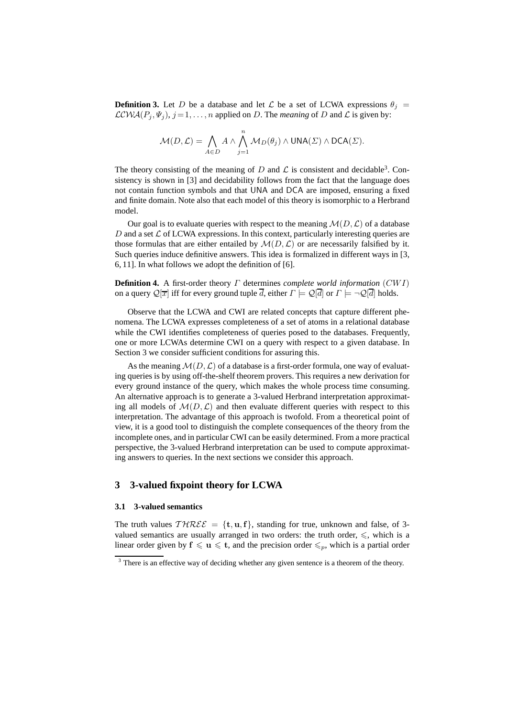**Definition 3.** Let D be a database and let L be a set of LCWA expressions  $\theta_i$  $LCWA(P_i, \Psi_i), j=1, \ldots, n$  applied on D. The *meaning* of D and L is given by:

$$
\mathcal{M}(D,\mathcal{L})=\bigwedge_{A\in D}A\wedge\bigwedge_{j=1}^n\mathcal{M}_D(\theta_j)\wedge\mathsf{UNA}(\varSigma)\wedge\mathsf{DCA}(\varSigma).
$$

The theory consisting of the meaning of  $D$  and  $\mathcal L$  is consistent and decidable<sup>3</sup>. Consistency is shown in [3] and decidability follows from the fact that the language does not contain function symbols and that UNA and DCA are imposed, ensuring a fixed and finite domain. Note also that each model of this theory is isomorphic to a Herbrand model.

Our goal is to evaluate queries with respect to the meaning  $\mathcal{M}(D,\mathcal{L})$  of a database D and a set  $\mathcal L$  of LCWA expressions. In this context, particularly interesting queries are those formulas that are either entailed by  $\mathcal{M}(D,\mathcal{L})$  or are necessarily falsified by it. Such queries induce definitive answers. This idea is formalized in different ways in [3, 6, 11]. In what follows we adopt the definition of [6].

**Definition 4.** A first-order theory Γ determines *complete world information* (CWI) on a query  $\mathcal{Q}[\overline{x}]$  iff for every ground tuple  $\overline{d}$ , either  $\Gamma \models \mathcal{Q}[\overline{d}]$  or  $\Gamma \models \neg \mathcal{Q}[\overline{d}]$  holds.

Observe that the LCWA and CWI are related concepts that capture different phenomena. The LCWA expresses completeness of a set of atoms in a relational database while the CWI identifies completeness of queries posed to the databases. Frequently, one or more LCWAs determine CWI on a query with respect to a given database. In Section 3 we consider sufficient conditions for assuring this.

As the meaning  $\mathcal{M}(D,\mathcal{L})$  of a database is a first-order formula, one way of evaluating queries is by using off-the-shelf theorem provers. This requires a new derivation for every ground instance of the query, which makes the whole process time consuming. An alternative approach is to generate a 3-valued Herbrand interpretation approximating all models of  $\mathcal{M}(D,\mathcal{L})$  and then evaluate different queries with respect to this interpretation. The advantage of this approach is twofold. From a theoretical point of view, it is a good tool to distinguish the complete consequences of the theory from the incomplete ones, and in particular CWI can be easily determined. From a more practical perspective, the 3-valued Herbrand interpretation can be used to compute approximating answers to queries. In the next sections we consider this approach.

### **3 3-valued fixpoint theory for LCWA**

#### **3.1 3-valued semantics**

The truth values  $THREE = \{t, u, f\}$ , standing for true, unknown and false, of 3valued semantics are usually arranged in two orders: the truth order,  $\leq$ , which is a linear order given by  $f \leq u \leq t$ , and the precision order  $\leq_p$ , which is a partial order

 $3$  There is an effective way of deciding whether any given sentence is a theorem of the theory.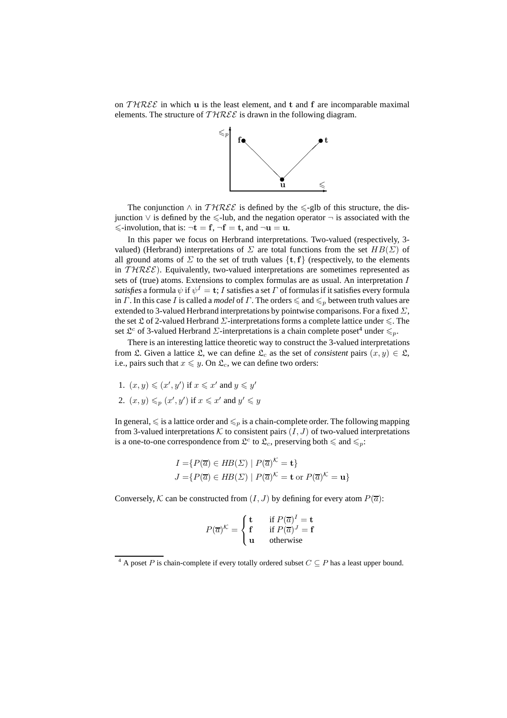on  $THREE$  in which **u** is the least element, and **t** and **f** are incomparable maximal elements. The structure of  $THREE$  is drawn in the following diagram.



The conjunction  $\wedge$  in  $\mathcal{THREE}$  is defined by the  $\le$ -glb of this structure, the disjunction  $\vee$  is defined by the  $\le$ -lub, and the negation operator  $\neg$  is associated with the  $\le$ -involution, that is:  $\neg$ **t** = **f**,  $\neg$ **f** = **t**, and  $\neg$ **u** = **u**.

In this paper we focus on Herbrand interpretations. Two-valued (respectively, 3 valued) (Herbrand) interpretations of  $\Sigma$  are total functions from the set  $HB(\Sigma)$  of all ground atoms of  $\Sigma$  to the set of truth values  $\{t, f\}$  (respectively, to the elements in  $THREE$ ). Equivalently, two-valued interpretations are sometimes represented as sets of (true) atoms. Extensions to complex formulas are as usual. An interpretation I  $satisfies$  a formula  $\psi$  if  $\psi^I={\bf t}; I$  satisfies a set  $\varGamma$  of formulas if it satisfies every formula in  $\Gamma$ . In this case I is called a *model* of  $\Gamma$ . The orders  $\le$  and  $\leq_p$  between truth values are extended to 3-valued Herbrand interpretations by pointwise comparisons. For a fixed  $\Sigma$ , the set  $\mathfrak L$  of 2-valued Herbrand  $\Sigma$ -interpretations forms a complete lattice under  $\leq$ . The set  $\mathfrak{L}^c$  of 3-valued Herbrand  $\Sigma$ -interpretations is a chain complete poset<sup>4</sup> under  $\leq_p$ .

There is an interesting lattice theoretic way to construct the 3-valued interpretations from L. Given a lattice L, we can define  $\mathcal{L}_c$  as the set of *consistent* pairs  $(x, y) \in \mathcal{L}$ , i.e., pairs such that  $x \leq y$ . On  $\mathfrak{L}_c$ , we can define two orders:

1.  $(x, y) \leqslant (x', y')$  if  $x \leqslant x'$  and  $y \leqslant y'$ 2.  $(x, y) \leqslant_p (x', y')$  if  $x \leqslant x'$  and  $y' \leqslant y$ 

In general,  $\leq$  is a lattice order and  $\leq_p$  is a chain-complete order. The following mapping from 3-valued interpretations  $K$  to consistent pairs  $(I, J)$  of two-valued interpretations is a one-to-one correspondence from  $\mathfrak{L}^c$  to  $\mathfrak{L}_c$ , preserving both  $\leq$  and  $\leq_p$ .

$$
I = \{ P(\overline{a}) \in HB(\Sigma) \mid P(\overline{a})^{\mathcal{K}} = \mathbf{t} \}
$$

$$
J = \{ P(\overline{a}) \in HB(\Sigma) \mid P(\overline{a})^{\mathcal{K}} = \mathbf{t} \text{ or } P(\overline{a})^{\mathcal{K}} = \mathbf{u} \}
$$

Conversely, K can be constructed from  $(I, J)$  by defining for every atom  $P(\overline{a})$ :

$$
P(\overline{a})^{\mathcal{K}} = \begin{cases} \mathbf{t} & \text{if } P(\overline{a})^I = \mathbf{t} \\ \mathbf{f} & \text{if } P(\overline{a})^J = \mathbf{f} \\ \mathbf{u} & \text{otherwise} \end{cases}
$$

<sup>&</sup>lt;sup>4</sup> A poset P is chain-complete if every totally ordered subset  $C \subseteq P$  has a least upper bound.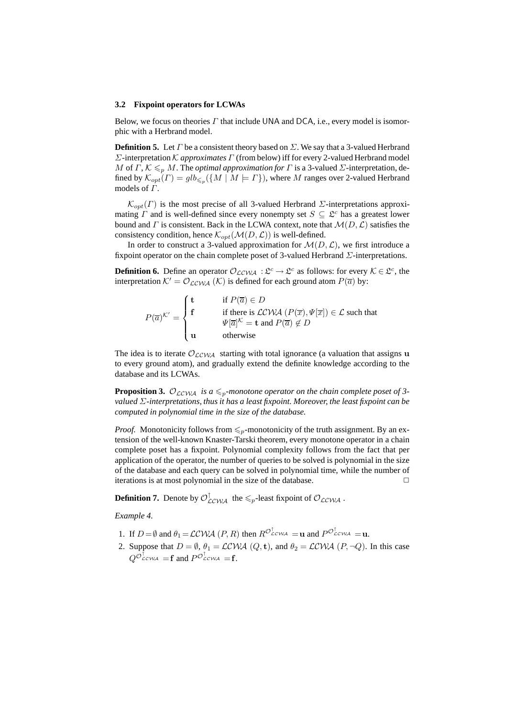#### **3.2 Fixpoint operators for LCWAs**

Below, we focus on theories  $\Gamma$  that include UNA and DCA, i.e., every model is isomorphic with a Herbrand model.

**Definition 5.** Let  $\Gamma$  be a consistent theory based on  $\Sigma$ . We say that a 3-valued Herbrand Σ-interpretation K *approximates* Γ (from below) iff for every 2-valued Herbrand model M of  $\Gamma$ ,  $K \leqslant_p M$ . The *optimal approximation for*  $\Gamma$  is a 3-valued  $\Sigma$ -interpretation, defined by  $\mathcal{K}_{opt}(\Gamma) = glb_{\leqslant_p}(\lbrace M \mid M \models \Gamma \rbrace)$ , where  $M$  ranges over 2-valued Herbrand models of Γ.

 $\mathcal{K}_{opt}(\Gamma)$  is the most precise of all 3-valued Herbrand  $\Sigma$ -interpretations approximating  $\Gamma$  and is well-defined since every nonempty set  $S \subseteq \mathcal{L}^c$  has a greatest lower bound and  $\Gamma$  is consistent. Back in the LCWA context, note that  $\mathcal{M}(D,\mathcal{L})$  satisfies the consistency condition, hence  $\mathcal{K}_{opt}(\mathcal{M}(D,\mathcal{L}))$  is well-defined.

In order to construct a 3-valued approximation for  $\mathcal{M}(D,\mathcal{L})$ , we first introduce a fixpoint operator on the chain complete poset of 3-valued Herbrand  $\Sigma$ -interpretations.

**Definition 6.** Define an operator  $\mathcal{O}_{\mathcal{LCWA}} : \mathfrak{L}^c \to \mathfrak{L}^c$  as follows: for every  $\mathcal{K} \in \mathfrak{L}^c$ , the interpretation  $K' = \mathcal{O}_{\mathcal{LCWA}}(\mathcal{K})$  is defined for each ground atom  $P(\overline{a})$  by:

$$
P(\overline{a})^{\mathcal{K}'} = \begin{cases} \mathbf{t} & \text{if } P(\overline{a}) \in D \\ \mathbf{f} & \text{if there is } \mathcal{LCWA} (P(\overline{x}), \Psi[\overline{x}]) \in \mathcal{L} \text{ such that} \\ \Psi[\overline{a}]^{\mathcal{K}} = \mathbf{t} \text{ and } P(\overline{a}) \notin D \\ \mathbf{u} & \text{otherwise} \end{cases}
$$

The idea is to iterate  $\mathcal{O}_{\mathcal{LCWA}}$  starting with total ignorance (a valuation that assigns u to every ground atom), and gradually extend the definite knowledge according to the database and its LCWAs.

**Proposition 3.**  $\mathcal{O}_{\mathcal{LCWA}}$  *is a*  $\leq_p$ *-monotone operator on the chain complete poset of 3valued* Σ*-interpretations, thus it has a least fixpoint. Moreover, the least fixpoint can be computed in polynomial time in the size of the database.*

*Proof.* Monotonicity follows from  $\leq_{p}$ -monotonicity of the truth assignment. By an extension of the well-known Knaster-Tarski theorem, every monotone operator in a chain complete poset has a fixpoint. Polynomial complexity follows from the fact that per application of the operator, the number of queries to be solved is polynomial in the size of the database and each query can be solved in polynomial time, while the number of iterations is at most polynomial in the size of the database.  $\Box$ 

**Definition 7.** Denote by  $\mathcal{O}_{\mathcal{LCWA}}^{\uparrow}$  the  $\leq_p$ -least fixpoint of  $\mathcal{O}_{\mathcal{LCWA}}$ .

*Example 4.*

1. If  $D = \emptyset$  and  $\theta_1 = \mathcal{LCWA}$  (*P*, *R*) then  $R^{\mathcal{O}_{\mathcal{LCWA}}^{\uparrow}} = \mathbf{u}$  and  $P^{\mathcal{O}_{\mathcal{LCWA}}^{\uparrow}} = \mathbf{u}$ .

2. Suppose that  $D = \emptyset$ ,  $\theta_1 = \mathcal{LCWA} (Q, \mathbf{t})$ , and  $\theta_2 = \mathcal{LCWA} (P, \neg Q)$ . In this case  $Q^{\mathcal{O}^{\uparrow}_{\mathcal{LCWA}}} = \mathbf{f}$  and  $P^{\mathcal{O}^{\uparrow}_{\mathcal{LCWA}}} = \mathbf{f}$ .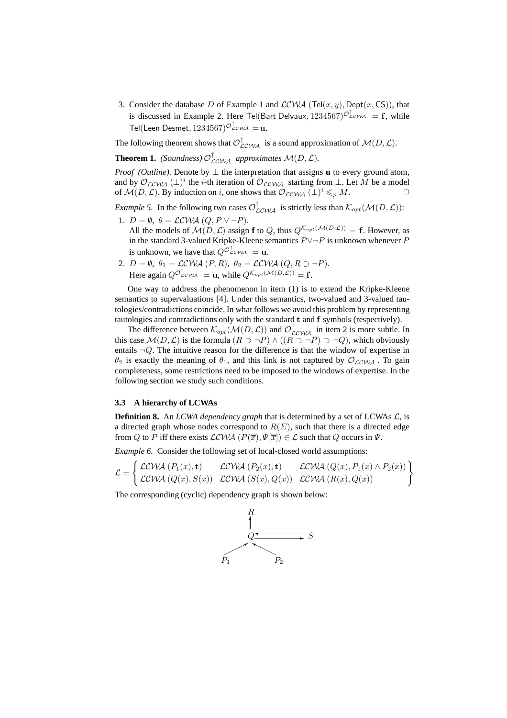3. Consider the database D of Example 1 and  $LCWA$  (Tel(x, y), Dept(x, CS)), that is discussed in Example 2. Here Tel(Bart Delvaux,  $1234567)^{{\mathcal{O}}_{\mathcal{LCWA}}} = \mathbf{f}$ , while Tel(Leen Desmet, 1234567) $^{{\mathcal{O}}^{\uparrow}_{\mathcal{LCWA}}} =$ u.

The following theorem shows that  $\mathcal{O}_{\mathcal{LCWA}}^{\uparrow}$  is a sound approximation of  $\mathcal{M}(D, \mathcal{L})$ .

**Theorem 1.** *(Soundness)*  $\mathcal{O}_{\mathcal{LCWA}}^{\uparrow}$  *approximates*  $\mathcal{M}(D, \mathcal{L})$ *.* 

*Proof (Outline).* Denote by  $\perp$  the interpretation that assigns **u** to every ground atom, and by  $\mathcal{O}_{\mathcal{LCWA}} (\perp)^i$  the *i*-th iteration of  $\mathcal{O}_{\mathcal{LCWA}}$  starting from  $\perp$ . Let M be a model of  $\mathcal{M}(D, \mathcal{L})$ . By induction on i, one shows that  $\mathcal{O}_{\mathcal{LCWA}}(\bot)^i \leq_p M$ .

*Example 5.* In the following two cases  $\mathcal{O}_{\mathcal{LCWA}}^{\uparrow}$  is strictly less than  $\mathcal{K}_{opt}(\mathcal{M}(D, \mathcal{L}))$ : 1.  $D = \emptyset$ ,  $\theta = \mathcal{LCWA}$   $(Q, P \vee \neg P)$ .

- All the models of  $\mathcal{M}(D,\mathcal{L})$  assign **f** to Q, thus  $Q^{\mathcal{K}_{opt}(\mathcal{M}(D,\mathcal{L}))} = \mathbf{f}$ . However, as in the standard 3-valued Kripke-Kleene semantics  $P \vee P$  is unknown whenever P is unknown, we have that  $Q^{\mathcal{O}_{\mathcal{LCWA}}^{\uparrow}} = \mathbf{u}$ .
- 2.  $D = \emptyset$ ,  $\theta_1 = \mathcal{LCWA} (P, R)$ ,  $\theta_2 = \mathcal{LCWA} (Q, R \supset \neg P)$ . Here again  $Q^{\mathcal{O}_{\mathcal{L}CWA}} = \mathbf{u}$ , while  $Q^{\mathcal{K}_{opt}(\mathcal{M}(D,\mathcal{L}))} = \mathbf{f}$ .

One way to address the phenomenon in item (1) is to extend the Kripke-Kleene semantics to supervaluations [4]. Under this semantics, two-valued and 3-valued tautologies/contradictions coincide. In what follows we avoid this problem by representing tautologies and contradictions only with the standard t and f symbols (respectively).

The difference between  $\mathcal{K}_{opt}(\mathcal{M}(D,\mathcal{L}))$  and  $\mathcal{O}_{\mathcal{LCWA}}^{\uparrow}$  in item 2 is more subtle. In this case  $\mathcal{M}(D,\mathcal{L})$  is the formula  $(R \supset \neg P) \wedge ((R \supset \neg P) \supset \neg Q)$ , which obviously entails  $\neg Q$ . The intuitive reason for the difference is that the window of expertise in  $\theta_2$  is exactly the meaning of  $\theta_1$ , and this link is not captured by  $\mathcal{O}_{\mathcal{LCWA}}$ . To gain completeness, some restrictions need to be imposed to the windows of expertise. In the following section we study such conditions.

#### **3.3 A hierarchy of LCWAs**

**Definition 8.** An *LCWA dependency graph* that is determined by a set of LCWAs  $\mathcal{L}$ , is a directed graph whose nodes correspond to  $R(\Sigma)$ , such that there is a directed edge from Q to P iff there exists  $LCWA (P(\overline{x}), \Psi[\overline{x}]) \in \mathcal{L}$  such that Q occurs in  $\Psi$ .

*Example 6.* Consider the following set of local-closed world assumptions:

$$
\mathcal{L} = \left\{ \begin{array}{ll} \mathcal{LCWA} (P_1(x), \mathbf{t}) & \mathcal{LCWA} (P_2(x), \mathbf{t}) & \mathcal{LCWA} (Q(x), P_1(x) \wedge P_2(x)) \\ \mathcal{LCWA} (Q(x), S(x)) & \mathcal{LCWA} (S(x), Q(x)) & \mathcal{LCWA} (R(x), Q(x)) \end{array} \right\}
$$

The corresponding (cyclic) dependency graph is shown below:

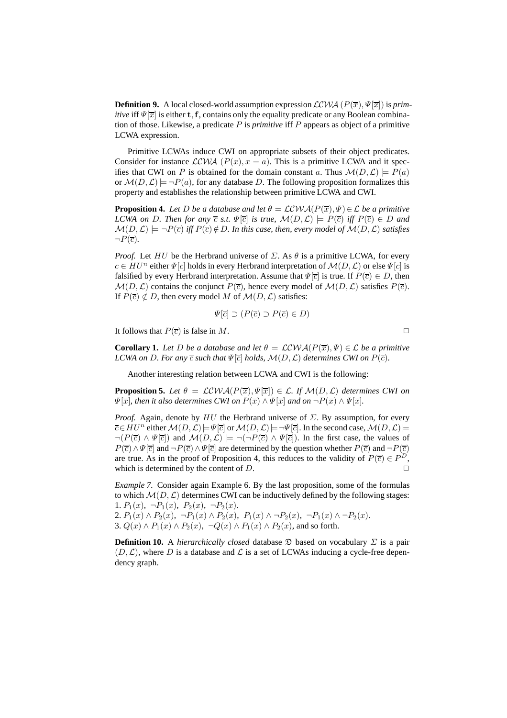**Definition 9.** A local closed-world assumption expression  $LCWA (P(\overline{x}), \Psi[\overline{x}])$  is *primitive* iff  $\Psi[\overline{x}]$  is either **t**, **f**, contains only the equality predicate or any Boolean combination of those. Likewise, a predicate P is *primitive* iff P appears as object of a primitive LCWA expression.

Primitive LCWAs induce CWI on appropriate subsets of their object predicates. Consider for instance  $LCWA$  ( $P(x)$ ,  $x = a$ ). This is a primitive LCWA and it specifies that CWI on P is obtained for the domain constant a. Thus  $\mathcal{M}(D,\mathcal{L}) \models P(a)$ or  $\mathcal{M}(D,\mathcal{L})\models \neg P(a)$ , for any database D. The following proposition formalizes this property and establishes the relationship between primitive LCWA and CWI.

**Proposition 4.** *Let* D *be a database and let*  $\theta = \mathcal{LCWA}(P(\overline{x}), \Psi) \in \mathcal{L}$  *be a primitive LCWA on D.* Then for any  $\overline{c}$  *s.t.*  $\Psi[\overline{c}]$  *is true,*  $\mathcal{M}(D,\mathcal{L}) \models P(\overline{c})$  *iff*  $P(\overline{c}) \in D$  *and*  $\mathcal{M}(D,\mathcal{L}) \models \neg P(\overline{c})$  *iff*  $P(\overline{c}) \notin D$ *. In this case, then, every model of*  $\mathcal{M}(D,\mathcal{L})$  *satisfies*  $\neg P(\overline{c})$ .

*Proof.* Let HU be the Herbrand universe of  $\Sigma$ . As  $\theta$  is a primitive LCWA, for every  $\overline{c} \in HU^n$  either  $\Psi[\overline{c}]$  holds in every Herbrand interpretation of  $\mathcal{M}(D,\mathcal{L})$  or else  $\Psi[\overline{c}]$  is falsified by every Herbrand interpretation. Assume that  $\Psi[\overline{c}]$  is true. If  $P(\overline{c}) \in D$ , then  $\mathcal{M}(D,\mathcal{L})$  contains the conjunct  $P(\bar{c})$ , hence every model of  $\mathcal{M}(D,\mathcal{L})$  satisfies  $P(\bar{c})$ . If  $P(\overline{c}) \notin D$ , then every model M of  $M(D, \mathcal{L})$  satisfies:

$$
\Psi[\overline{c}] \supset (P(\overline{c}) \supset P(\overline{c}) \in D)
$$

It follows that  $P(\overline{c})$  is false in M.

**Corollary 1.** Let D be a database and let  $\theta = \mathcal{LCWA}(P(\overline{x}), \Psi) \in \mathcal{L}$  be a primitive *LCWA on D. For any*  $\overline{c}$  *such that*  $\Psi[\overline{c}]$  *holds,*  $\mathcal{M}(D,\mathcal{L})$  *determines CWI on*  $P(\overline{c})$ *.* 

Another interesting relation between LCWA and CWI is the following:

**Proposition 5.** Let  $\theta = \mathcal{LCWA}(P(\overline{x}), \Psi[\overline{x}]) \in \mathcal{L}$ . If  $\mathcal{M}(D, \mathcal{L})$  determines CWI on  $\Psi[\overline{x}]$ *, then it also determines CWI on*  $P(\overline{x}) \wedge \Psi[\overline{x}]$  *and on*  $\neg P(\overline{x}) \wedge \Psi[\overline{x}]$ *.* 

*Proof.* Again, denote by  $HU$  the Herbrand universe of  $\Sigma$ . By assumption, for every  $\overline{c} \in HU^n$  either  $\mathcal{M}(D,\mathcal{L})| \neq \mathcal{V}[\overline{c}]$  or  $\mathcal{M}(D,\mathcal{L})| \neq \neg \Psi[\overline{c}]$ . In the second case,  $\mathcal{M}(D,\mathcal{L})| \neq$  $\neg (P(\overline{c}) \wedge \Psi[\overline{c}])$  and  $\mathcal{M}(D,\mathcal{L}) \models \neg (\neg P(\overline{c}) \wedge \Psi[\overline{c}])$ . In the first case, the values of  $P(\overline{c}) \wedge \Psi[\overline{c}]$  and  $\neg P(\overline{c}) \wedge \Psi[\overline{c}]$  are determined by the question whether  $P(\overline{c})$  and  $\neg P(\overline{c})$ are true. As in the proof of Proposition 4, this reduces to the validity of  $P(\overline{c}) \in P^D$ , which is determined by the content of  $D$ .  $\Box$ 

*Example 7.* Consider again Example 6. By the last proposition, some of the formulas to which  $\mathcal{M}(D,\mathcal{L})$  determines CWI can be inductively defined by the following stages: 1.  $P_1(x)$ ,  $\neg P_1(x)$ ,  $P_2(x)$ ,  $\neg P_2(x)$ . 2.  $P_1(x) \wedge P_2(x)$ ,  $\neg P_1(x) \wedge P_2(x)$ ,  $P_1(x) \wedge \neg P_2(x)$ ,  $\neg P_1(x) \wedge \neg P_2(x)$ .

**Definition 10.** A *hierarchically closed* database  $\mathcal{D}$  based on vocabulary  $\Sigma$  is a pair  $(D, \mathcal{L})$ , where D is a database and  $\mathcal{L}$  is a set of LCWAs inducing a cycle-free dependency graph.

3.  $Q(x) \wedge P_1(x) \wedge P_2(x)$ ,  $\neg Q(x) \wedge P_1(x) \wedge P_2(x)$ , and so forth.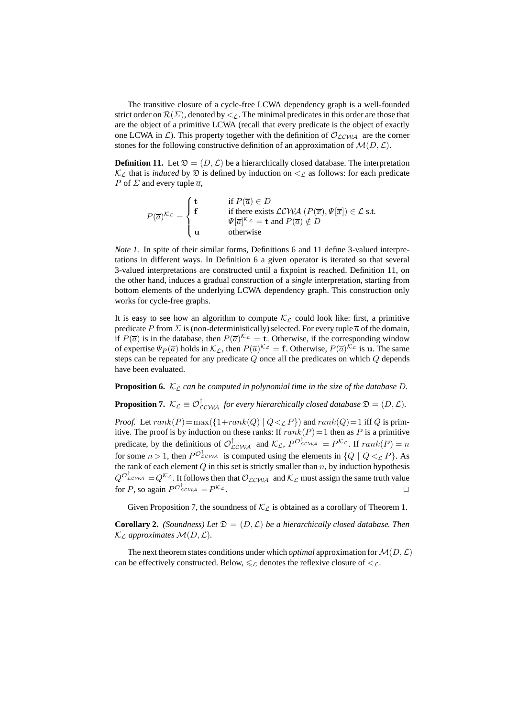The transitive closure of a cycle-free LCWA dependency graph is a well-founded strict order on  $\mathcal{R}(\Sigma)$ , denoted by  $\lt_{\mathcal{L}}$ . The minimal predicates in this order are those that are the object of a primitive LCWA (recall that every predicate is the object of exactly one LCWA in  $\mathcal{L}$ ). This property together with the definition of  $\mathcal{O}_{\mathcal{LCWA}}$  are the corner stones for the following constructive definition of an approximation of  $\mathcal{M}(D,\mathcal{L})$ .

**Definition 11.** Let  $\mathfrak{D} = (D, \mathcal{L})$  be a hierarchically closed database. The interpretation  $\mathcal{K}_{\mathcal{L}}$  that is *induced* by  $\mathfrak{D}$  is defined by induction on  $\lt_{\mathcal{L}}$  as follows: for each predicate P of  $\Sigma$  and every tuple  $\overline{a}$ ,

> $P(\overline{a})^{\mathcal{K}_{\mathcal{L}}} =$  $\sqrt{ }$  $\int$  $\overline{\mathcal{L}}$ t if  $P(\overline{a}) \in D$ f if there exists  $LCWA (P(\overline{x}), \Psi[\overline{x}]) \in \mathcal{L}$  s.t.  $\Psi[\overline{a}]^{\mathcal{K}_{\mathcal{L}}} = \mathbf{t}$  and  $P(\overline{a}) \notin D$ u otherwise

*Note 1.* In spite of their similar forms, Definitions 6 and 11 define 3-valued interpretations in different ways. In Definition 6 a given operator is iterated so that several 3-valued interpretations are constructed until a fixpoint is reached. Definition 11, on the other hand, induces a gradual construction of a *single* interpretation, starting from bottom elements of the underlying LCWA dependency graph. This construction only works for cycle-free graphs.

It is easy to see how an algorithm to compute  $\mathcal{K}_{\mathcal{L}}$  could look like: first, a primitive predicate P from  $\Sigma$  is (non-deterministically) selected. For every tuple  $\overline{a}$  of the domain, if  $P(\overline{a})$  is in the database, then  $P(\overline{a})^{\mathcal{K}_{\mathcal{L}}} = \mathbf{t}$ . Otherwise, if the corresponding window of expertise  $\Psi_P(\overline{a})$  holds in  $\mathcal{K}_\mathcal{L}$ , then  $P(\overline{a})^{\mathcal{K}_\mathcal{L}} = \mathbf{f}$ . Otherwise,  $P(\overline{a})^{\mathcal{K}_\mathcal{L}}$  is u. The same steps can be repeated for any predicate Q once all the predicates on which Q depends have been evaluated.

### **Proposition 6.**  $K_{\mathcal{L}}$  *can be computed in polynomial time in the size of the database D.*

**Proposition 7.**  $K_{\mathcal{L}} \equiv \mathcal{O}_{\mathcal{LCWA}}^{\uparrow}$  for every hierarchically closed database  $\mathfrak{D} = (D, \mathcal{L})$ .

*Proof.* Let  $rank(P) = max({1+rank(Q) | Q <_{\mathcal{L}} P})$  and  $rank(Q) = 1$  iff Q is primitive. The proof is by induction on these ranks: If  $rank(P)=1$  then as P is a primitive predicate, by the definitions of  $\mathcal{O}_{LCWA}^{\dagger}$  and  $\mathcal{K}_{\mathcal{L}}, P^{\mathcal{O}_{LCWA}^{\dagger}} = P^{\mathcal{K}_{\mathcal{L}}}$ . If  $rank(P) = n$ for some  $n > 1$ , then  $P^{\mathcal{O}_{LCWA}^{\dagger}}$  is computed using the elements in  $\{Q \mid Q <_{\mathcal{L}} P\}$ . As the rank of each element  $Q$  in this set is strictly smaller than  $n$ , by induction hypothesis  $Q^{\mathcal{O}^\uparrow_{\mathcal{LCWA}}}=Q^{\mathcal{K}_\mathcal{L}}.$  It follows then that  $\mathcal{O}_{\mathcal{LCWA}}$  and  $\mathcal{K}_\mathcal{L}$  must assign the same truth value for P, so again  $P^{\mathcal{O}_{\mathcal{LCWA}}^{\dagger}} = P$  $\kappa$ <sub>c</sub>  $\Box$ 

Given Proposition 7, the soundness of  $\mathcal{K}_{\mathcal{L}}$  is obtained as a corollary of Theorem 1.

**Corollary 2.** *(Soundness)* Let  $\mathfrak{D} = (D, \mathcal{L})$  be a hierarchically closed database. Then  $\mathcal{K}_{\mathcal{L}}$  *approximates*  $\mathcal{M}(D, \mathcal{L})$ *.* 

The next theorem states conditions under which *optimal* approximation for  $\mathcal{M}(D,\mathcal{L})$ can be effectively constructed. Below,  $\leq \mathcal{L}$  denotes the reflexive closure of  $\leq \mathcal{L}$ .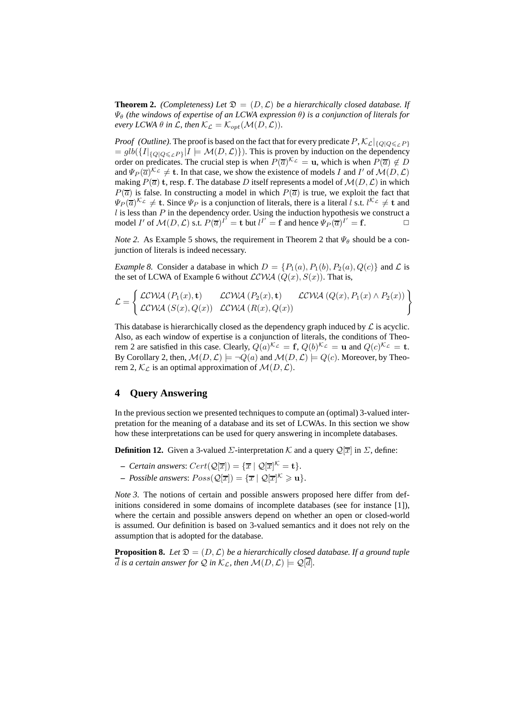**Theorem 2.** *(Completeness) Let*  $\mathfrak{D} = (D, \mathcal{L})$  *be a hierarchically closed database. If* Ψ<sup>θ</sup> *(the windows of expertise of an LCWA expression* θ*) is a conjunction of literals for every LCWA*  $\theta$  *in L, then*  $\mathcal{K}_{\mathcal{L}} = \mathcal{K}_{opt}(\mathcal{M}(D,\mathcal{L}))$ *.* 

*Proof (Outline).* The proof is based on the fact that for every predicate  $P, K_{\mathcal{L}}|_{\{Q|Q \leq \mathcal{L}P\}}$  $= glb({I|_{Q|Q \leq C}} P_I | I \models \mathcal{M}(D, \mathcal{L})).$  This is proven by induction on the dependency order on predicates. The crucial step is when  $P(\overline{a})^{\mathcal{K}_{\mathcal{L}}} = \mathbf{u}$ , which is when  $P(\overline{a}) \notin D$ and  $\Psi_P(\overline{a})^{\mathcal{K}_\mathcal{L}} \neq \mathbf{t}$ . In that case, we show the existence of models I and I' of  $\mathcal{M}(D,\mathcal{L})$ making  $P(\overline{a})$  t, resp. f. The database D itself represents a model of  $\mathcal{M}(D,\mathcal{L})$  in which  $P(\overline{a})$  is false. In constructing a model in which  $P(\overline{a})$  is true, we exploit the fact that  $\Psi_P(\overline{a})^{\mathcal{K}_\mathcal{L}} \neq \mathbf{t}$ . Since  $\Psi_P$  is a conjunction of literals, there is a literal l s.t.  $l^{\mathcal{K}_\mathcal{L}} \neq \mathbf{t}$  and  $l$  is less than  $P$  in the dependency order. Using the induction hypothesis we construct a model I' of  $M(D, \mathcal{L})$  s.t.  $P(\overline{a})^{I'} = \mathbf{t}$  but  $l^{I'} = \mathbf{f}$  and hence  $\Psi_P(\overline{a})^{I'} = \mathbf{f}$ .

*Note 2.* As Example 5 shows, the requirement in Theorem 2 that  $\Psi_{\theta}$  should be a conjunction of literals is indeed necessary.

*Example 8.* Consider a database in which  $D = \{P_1(a), P_1(b), P_2(a), Q(c)\}\$  and  $\mathcal L$  is the set of LCWA of Example 6 without  $LCWA (Q(x), S(x))$ . That is,

$$
\mathcal{L} = \left\{ \begin{array}{ll} \mathcal{LCWA} (P_1(x), \mathbf{t}) & \mathcal{LCWA} (P_2(x), \mathbf{t}) & \mathcal{LCWA} (Q(x), P_1(x) \wedge P_2(x)) \\ \mathcal{LCWA} (S(x), Q(x)) & \mathcal{LCWA} (R(x), Q(x)) \end{array} \right\}
$$

This database is hierarchically closed as the dependency graph induced by  $\mathcal L$  is acyclic. Also, as each window of expertise is a conjunction of literals, the conditions of Theorem 2 are satisfied in this case. Clearly,  $Q(a)^{K_c} = \mathbf{f}$ ,  $Q(b)^{K_c} = \mathbf{u}$  and  $Q(c)^{K_c} = \mathbf{t}$ . By Corollary 2, then,  $\mathcal{M}(D,\mathcal{L}) \models \neg Q(a)$  and  $\mathcal{M}(D,\mathcal{L}) \models Q(c)$ . Moreover, by Theorem 2,  $\mathcal{K}_{\mathcal{L}}$  is an optimal approximation of  $\mathcal{M}(D,\mathcal{L})$ .

## **4 Query Answering**

In the previous section we presented techniques to compute an (optimal) 3-valued interpretation for the meaning of a database and its set of LCWAs. In this section we show how these interpretations can be used for query answering in incomplete databases.

**Definition 12.** Given a 3-valued  $\Sigma$ -interpretation  $\mathcal K$  and a query  $\mathcal Q[\overline{x}]$  in  $\Sigma$ , define:

- **–** *Certain answers*:  $Cert(Q[\overline{x}]) = {\overline{x} \mid Q[\overline{x}]}^{\mathcal{K}} = \mathbf{t}.$
- **–** *Possible answers*:  $Poss(Q[\overline{x}]) = {\overline{x} | Q[\overline{x}]}^{\mathcal{K}} \geq \mathbf{u}}$ .

*Note 3.* The notions of certain and possible answers proposed here differ from definitions considered in some domains of incomplete databases (see for instance [1]), where the certain and possible answers depend on whether an open or closed-world is assumed. Our definition is based on 3-valued semantics and it does not rely on the assumption that is adopted for the database.

**Proposition 8.** Let  $\mathfrak{D} = (D, \mathcal{L})$  *be a hierarchically closed database. If a ground tuple*  $\overline{d}$  *is a certain answer for* Q *in*  $\mathcal{K}_{\mathcal{L}}$ *, then*  $\mathcal{M}(D,\mathcal{L}) \models \mathcal{Q}[\overline{d}]$ *.*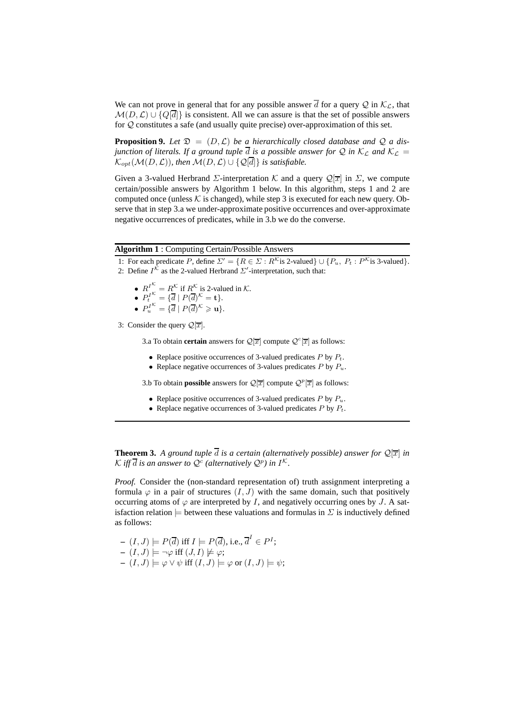We can not prove in general that for any possible answer  $\overline{d}$  for a query Q in  $\mathcal{K}_{\mathcal{L}}$ , that  $\mathcal{M}(D,\mathcal{L}) \cup \{Q[d]\}\$ is consistent. All we can assure is that the set of possible answers for  $Q$  constitutes a safe (and usually quite precise) over-approximation of this set.

**Proposition 9.** Let  $\mathfrak{D} = (D, \mathcal{L})$  be a hierarchically closed database and  $\mathcal{Q}$  a dis*junction of literals. If a ground tuple*  $\overline{d}$  *is a possible answer for* Q *in*  $K_{\mathcal{L}}$  *and*  $K_{\mathcal{L}}$  =  $\mathcal{K}_{opt}(\mathcal{M}(D,\mathcal{L}))$ , then  $\mathcal{M}(D,\mathcal{L}) \cup \{ \mathcal{Q}[\overline{d}] \}$  is satisfiable.

Given a 3-valued Herbrand  $\Sigma$ -interpretation  $\mathcal K$  and a query  $\mathcal Q[\overline{x}]$  in  $\Sigma$ , we compute certain/possible answers by Algorithm 1 below. In this algorithm, steps 1 and 2 are computed once (unless  $K$  is changed), while step 3 is executed for each new query. Observe that in step 3.a we under-approximate positive occurrences and over-approximate negative occurrences of predicates, while in 3.b we do the converse.

#### **Algorithm 1** : Computing Certain/Possible Answers

1: For each predicate P, define  $\Sigma' = \{ R \in \Sigma : R^{\mathcal{K}} \text{is 2-valued} \} \cup \{ P_u, P_t : P^{\mathcal{K}} \text{is 3-valued} \}.$ 2: Define  $I^{\hat{K}}$  as the 2-valued Herbrand  $\Sigma'$ -interpretation, such that:

- $R^{I^{\mathcal{K}}}_{\nu} = R^{\mathcal{K}}$  if  $R^{\mathcal{K}}$  is 2-valued in  $\mathcal{K}$ .
- $P_t^{I^K} = {\overline{d} \mid P(\overline{d})^K = \mathbf{t}}.$
- $P_u^{I^K} = {\overline{d} \mid P(\overline{d})^K \geqslant \mathbf{u}}.$

3: Consider the query  $\mathcal{Q}[\overline{x}]$ .

3.a To obtain **certain** answers for  $\mathcal{Q}[\overline{x}]$  compute  $\mathcal{Q}^c[\overline{x}]$  as follows:

- Replace positive occurrences of 3-valued predicates  $P$  by  $P_t$ .
- Replace negative occurrences of 3-values predicates  $P$  by  $P_u$ .

3.b To obtain **possible** answers for  $\mathcal{Q}[\overline{x}]$  compute  $\mathcal{Q}^p[\overline{x}]$  as follows:

- Replace positive occurrences of 3-valued predicates  $P$  by  $P_u$ .
- Replace negative occurrences of 3-valued predicates  $P$  by  $P_t$ .

**Theorem 3.** A ground tuple  $\overline{d}$  is a certain (alternatively possible) answer for  $\mathcal{Q}[\overline{x}]$  in  ${\cal K}$  *iff*  $\overline{d}$  *is an answer to*  ${\cal Q}^c$  *(alternatively*  ${\cal Q}^p$ *) in*  $I^{\cal K}.$ 

*Proof.* Consider the (non-standard representation of) truth assignment interpreting a formula  $\varphi$  in a pair of structures  $(I, J)$  with the same domain, such that positively occurring atoms of  $\varphi$  are interpreted by I, and negatively occurring ones by J. A satisfaction relation  $\models$  between these valuations and formulas in  $\Sigma$  is inductively defined as follows:

 $\overline{\mathcal{A}} = (I, J) \models P(\overline{d}) \text{ iff } I \models P(\overline{d}), \text{ i.e., } \overline{d}^I \in P^I;$  $(I, J) \models \neg \varphi$  iff  $(J, I) \not\models \varphi;$  $\mathcal{L} = (I, J) \models \varphi \lor \psi \text{ iff } (I, J) \models \varphi \text{ or } (I, J) \models \psi;$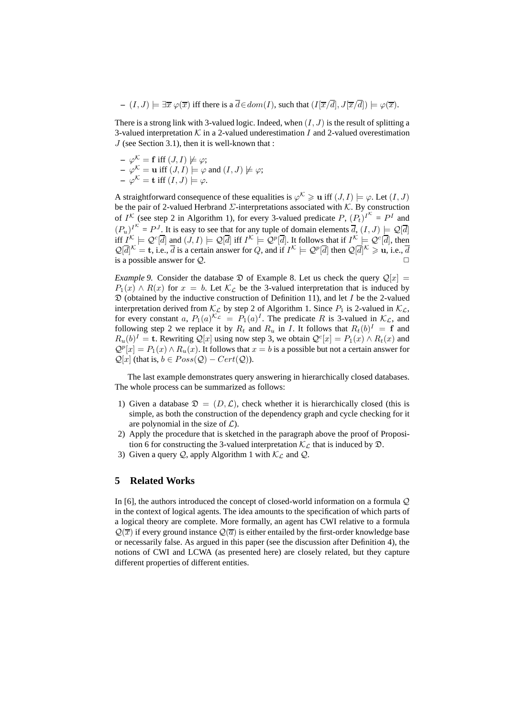$$
- (I, J) \models \exists \overline{x} \ \varphi(\overline{x}) \text{ iff there is a } \overline{d} \in dom(I), \text{ such that } (I[\overline{x}/\overline{d}], J[\overline{x}/\overline{d}]) \models \varphi(\overline{x}).
$$

There is a strong link with 3-valued logic. Indeed, when  $(I, J)$  is the result of splitting a 3-valued interpretation  $K$  in a 2-valued underestimation  $I$  and 2-valued overestimation  $J$  (see Section 3.1), then it is well-known that :

$$
-\varphi^{\mathcal{K}} = \mathbf{f} \text{ iff } (J, I) \not\models \varphi; \n-\varphi^{\mathcal{K}} = \mathbf{u} \text{ iff } (J, I) \models \varphi \text{ and } (I, J) \not\models \varphi; \n-\varphi^{\mathcal{K}} = \mathbf{t} \text{ iff } (I, J) \models \varphi.
$$

A straightforward consequence of these equalities is  $\varphi^{\mathcal{K}} \geq \mathbf{u}$  iff  $(J, I) \models \varphi$ . Let  $(I, J)$ be the pair of 2-valued Herbrand  $\Sigma$ -interpretations associated with K. By construction of  $I^{\mathcal{K}}$  (see step 2 in Algorithm 1), for every 3-valued predicate P,  $(P_t)^{I^{\mathcal{K}}} = P^I$  and  $(P_u)^{I^K} = P^J$ . It is easy to see that for any tuple of domain elements  $\overline{d}$ ,  $(I, J) \models \mathcal{Q}[\overline{d}]$ iff  $I^{\mathcal{K}}\models\mathcal{Q}^{c}[\overline{d}]$  and  $(J,I)\models\mathcal{Q}[\overline{d}]$  iff  $I^{\mathcal{K}}\models\mathcal{Q}^{p}[\overline{d}].$  It follows that if  $I^{\mathcal{K}}\models\mathcal{Q}^{c}[\overline{d}],$  then  $\mathcal{Q}[\overline{d}]^{\mathcal{K}} = \mathbf{t}$ , i.e.,  $\overline{d}$  is a certain answer for Q, and if  $I^{\mathcal{K}} \models \mathcal{Q}^p[\overline{d}]$  then  $\mathcal{Q}[\overline{d}]^{\mathcal{K}} \geq \mathbf{u}$ , i.e.,  $\overline{d}$ is a possible answer for  $Q$ .

*Example 9.* Consider the database  $\mathfrak D$  of Example 8. Let us check the query  $\mathcal Q[x] =$  $P_1(x) \wedge R(x)$  for  $x = b$ . Let  $\mathcal{K}_{\mathcal{L}}$  be the 3-valued interpretation that is induced by  $\mathfrak D$  (obtained by the inductive construction of Definition 11), and let  $I$  be the 2-valued interpretation derived from  $\mathcal{K}_{\mathcal{L}}$  by step 2 of Algorithm 1. Since  $P_1$  is 2-valued in  $\mathcal{K}_{\mathcal{L}}$ , for every constant a,  $P_1(a)^{K_{\mathcal{L}}} = P_1(a)^I$ . The predicate R is 3-valued in  $\mathcal{K}_{\mathcal{L}}$ , and following step 2 we replace it by  $R_t$  and  $R_u$  in I. It follows that  $R_t(b)^{\text{I}} = \mathbf{f}$  and  $R_u(b)^I = \mathbf{t}$ . Rewriting  $\mathcal{Q}[x]$  using now step 3, we obtain  $\mathcal{Q}^c[x] = P_1(x) \wedge R_t(x)$  and  $Q^p[x] = P_1(x) \wedge R_u(x)$ . It follows that  $x = b$  is a possible but not a certain answer for  $\mathcal{Q}[x]$  (that is,  $b \in Poss(\mathcal{Q}) - Cert(\mathcal{Q})$ ).

The last example demonstrates query answering in hierarchically closed databases. The whole process can be summarized as follows:

- 1) Given a database  $\mathfrak{D} = (D, \mathcal{L})$ , check whether it is hierarchically closed (this is simple, as both the construction of the dependency graph and cycle checking for it are polynomial in the size of  $\mathcal{L}$ ).
- 2) Apply the procedure that is sketched in the paragraph above the proof of Proposition 6 for constructing the 3-valued interpretation  $\mathcal{K}_c$  that is induced by  $\mathfrak{D}$ .
- 3) Given a query  $Q$ , apply Algorithm 1 with  $K_{\mathcal{L}}$  and  $Q$ .

## **5 Related Works**

In [6], the authors introduced the concept of closed-world information on a formula  $Q$ in the context of logical agents. The idea amounts to the specification of which parts of a logical theory are complete. More formally, an agent has CWI relative to a formula  $\mathcal{Q}(\overline{x})$  if every ground instance  $\mathcal{Q}(\overline{a})$  is either entailed by the first-order knowledge base or necessarily false. As argued in this paper (see the discussion after Definition 4), the notions of CWI and LCWA (as presented here) are closely related, but they capture different properties of different entities.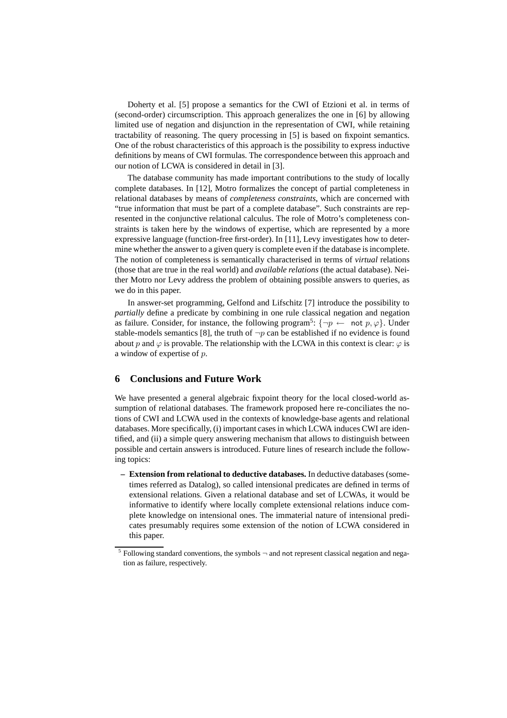Doherty et al. [5] propose a semantics for the CWI of Etzioni et al. in terms of (second-order) circumscription. This approach generalizes the one in [6] by allowing limited use of negation and disjunction in the representation of CWI, while retaining tractability of reasoning. The query processing in [5] is based on fixpoint semantics. One of the robust characteristics of this approach is the possibility to express inductive definitions by means of CWI formulas. The correspondence between this approach and our notion of LCWA is considered in detail in [3].

The database community has made important contributions to the study of locally complete databases. In [12], Motro formalizes the concept of partial completeness in relational databases by means of *completeness constraints*, which are concerned with "true information that must be part of a complete database". Such constraints are represented in the conjunctive relational calculus. The role of Motro's completeness constraints is taken here by the windows of expertise, which are represented by a more expressive language (function-free first-order). In [11], Levy investigates how to determine whether the answer to a given query is complete even if the database is incomplete. The notion of completeness is semantically characterised in terms of *virtual* relations (those that are true in the real world) and *available relations* (the actual database). Neither Motro nor Levy address the problem of obtaining possible answers to queries, as we do in this paper.

In answer-set programming, Gelfond and Lifschitz [7] introduce the possibility to *partially* define a predicate by combining in one rule classical negation and negation as failure. Consider, for instance, the following program<sup>5</sup>: { $\neg p \leftarrow$  not  $p, \varphi$ }. Under stable-models semantics [8], the truth of  $\neg p$  can be established if no evidence is found about p and  $\varphi$  is provable. The relationship with the LCWA in this context is clear:  $\varphi$  is a window of expertise of p.

# **6 Conclusions and Future Work**

We have presented a general algebraic fixpoint theory for the local closed-world assumption of relational databases. The framework proposed here re-conciliates the notions of CWI and LCWA used in the contexts of knowledge-base agents and relational databases. More specifically, (i) important cases in which LCWA induces CWI are identified, and (ii) a simple query answering mechanism that allows to distinguish between possible and certain answers is introduced. Future lines of research include the following topics:

**– Extension from relational to deductive databases.** In deductive databases (sometimes referred as Datalog), so called intensional predicates are defined in terms of extensional relations. Given a relational database and set of LCWAs, it would be informative to identify where locally complete extensional relations induce complete knowledge on intensional ones. The immaterial nature of intensional predicates presumably requires some extension of the notion of LCWA considered in this paper.

 $<sup>5</sup>$  Following standard conventions, the symbols  $\neg$  and not represent classical negation and nega-</sup> tion as failure, respectively.